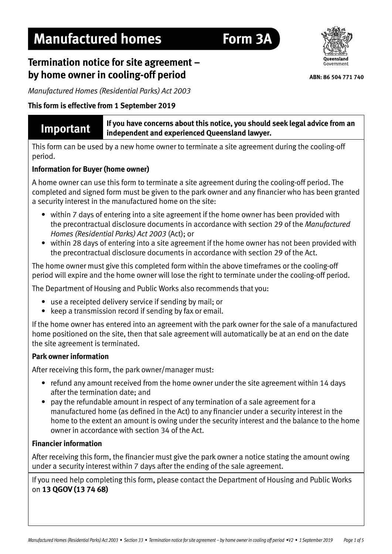# **Manufactured homes Form 3A**

## **Termination notice for site agreement – by home owner in cooling-off period**

*Manufactured Homes (Residential Parks) Act 2003*

#### **This form is effective from 1 September 2019**

**Important If you have concerns about this notice, you should seek legal advice from an <br>Important independent and experienced Queensland Jawer independent and experienced Queensland lawyer.** 

This form can be used by a new home owner to terminate a site agreement during the cooling-off period.

#### **Information for Buyer (home owner)**

A home owner can use this form to terminate a site agreement during the cooling-off period. The completed and signed form must be given to the park owner and any financier who has been granted a security interest in the manufactured home on the site:

- within 7 days of entering into a site agreement if the home owner has been provided with the precontractual disclosure documents in accordance with section 29 of the *Manufactured Homes (Residential Parks) Act 2003* (Act); or
- within 28 days of entering into a site agreement if the home owner has not been provided with the precontractual disclosure documents in accordance with section 29 of the Act.

The home owner must give this completed form within the above timeframes or the cooling-off period will expire and the home owner will lose the right to terminate under the cooling-off period.

The Department of Housing and Public Works also recommends that you:

- use a receipted delivery service if sending by mail; or
- keep a transmission record if sending by fax or email.

If the home owner has entered into an agreement with the park owner for the sale of a manufactured home positioned on the site, then that sale agreement will automatically be at an end on the date the site agreement is terminated.

#### **Park owner information**

After receiving this form, the park owner/manager must:

- refund any amount received from the home owner under the site agreement within 14 days after the termination date; and
- pay the refundable amount in respect of any termination of a sale agreement for a manufactured home (as defined in the Act) to any financier under a security interest in the home to the extent an amount is owing under the security interest and the balance to the home owner in accordance with section 34 of the Act.

#### **Financier information**

After receiving this form, the financier must give the park owner a notice stating the amount owing under a security interest within 7 days after the ending of the sale agreement.

If you need help completing this form, please contact the Department of Housing and Public Works on **13 QGOV (13 74 68)**



**ABN: 86 504 771 740**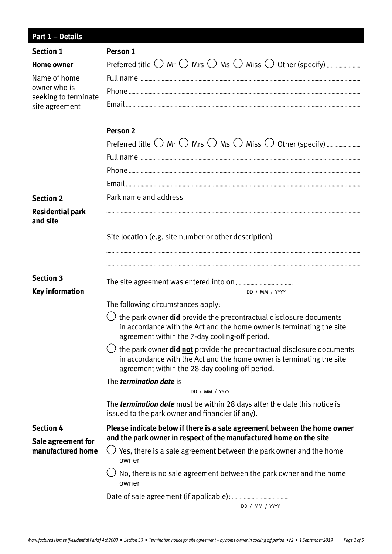| <b>Part 1 - Details</b>              |                                                                                                                                                                                                             |
|--------------------------------------|-------------------------------------------------------------------------------------------------------------------------------------------------------------------------------------------------------------|
| <b>Section 1</b>                     | Person 1                                                                                                                                                                                                    |
| <b>Home owner</b>                    |                                                                                                                                                                                                             |
| Name of home                         |                                                                                                                                                                                                             |
| owner who is<br>seeking to terminate |                                                                                                                                                                                                             |
| site agreement                       |                                                                                                                                                                                                             |
|                                      |                                                                                                                                                                                                             |
|                                      | Person <sub>2</sub>                                                                                                                                                                                         |
|                                      |                                                                                                                                                                                                             |
|                                      |                                                                                                                                                                                                             |
|                                      |                                                                                                                                                                                                             |
|                                      |                                                                                                                                                                                                             |
| <b>Section 2</b>                     | Park name and address                                                                                                                                                                                       |
| <b>Residential park</b>              |                                                                                                                                                                                                             |
| and site                             |                                                                                                                                                                                                             |
|                                      | Site location (e.g. site number or other description)                                                                                                                                                       |
|                                      |                                                                                                                                                                                                             |
|                                      |                                                                                                                                                                                                             |
| <b>Section 3</b>                     |                                                                                                                                                                                                             |
| <b>Key information</b>               | DD / MM / YYYY                                                                                                                                                                                              |
|                                      | The following circumstances apply:                                                                                                                                                                          |
|                                      | $\cup$ the park owner <b>did</b> provide the precontractual disclosure documents<br>in accordance with the Act and the home owner is terminating the site<br>agreement within the 7-day cooling-off period. |
|                                      | the park owner <b>did not</b> provide the precontractual disclosure documents<br>in accordance with the Act and the home owner is terminating the site<br>agreement within the 28-day cooling-off period.   |
|                                      | DD / MM / YYYY                                                                                                                                                                                              |
|                                      | The <b>termination date</b> must be within 28 days after the date this notice is<br>issued to the park owner and financier (if any).                                                                        |
| <b>Section 4</b>                     | Please indicate below if there is a sale agreement between the home owner                                                                                                                                   |
| Sale agreement for                   | and the park owner in respect of the manufactured home on the site                                                                                                                                          |
| manufactured home                    | Yes, there is a sale agreement between the park owner and the home<br>owner                                                                                                                                 |
|                                      | No, there is no sale agreement between the park owner and the home<br>owner                                                                                                                                 |
|                                      |                                                                                                                                                                                                             |
|                                      | DD / MM / YYYY                                                                                                                                                                                              |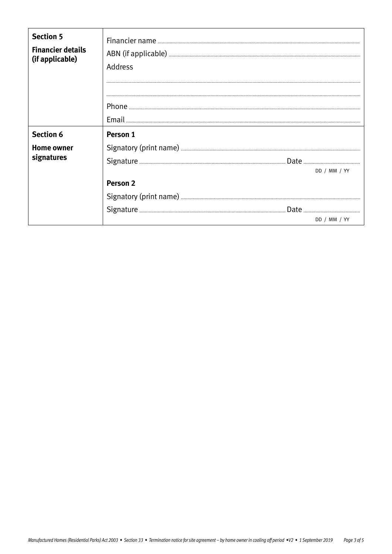| <b>Section 5</b><br><b>Financier details</b><br>(if applicable) | Address                                                     |
|-----------------------------------------------------------------|-------------------------------------------------------------|
| <b>Section 6</b><br><b>Home owner</b><br>signatures             | Person 1<br>DD / MM / YY<br><b>Person 2</b><br>DD / MM / YY |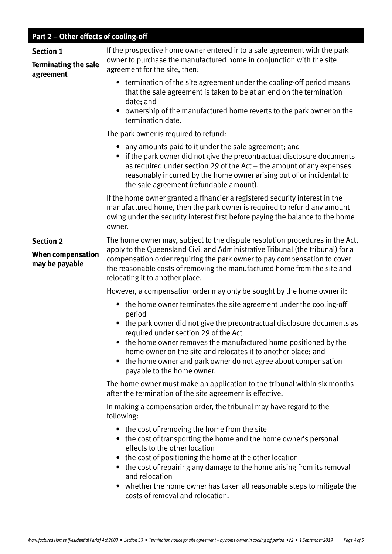|                                                              | Part 2 - Other effects of cooling-off                                                                                                                                                                                                                                                                                                                                                                                                |
|--------------------------------------------------------------|--------------------------------------------------------------------------------------------------------------------------------------------------------------------------------------------------------------------------------------------------------------------------------------------------------------------------------------------------------------------------------------------------------------------------------------|
| <b>Section 1</b><br><b>Terminating the sale</b><br>agreement | If the prospective home owner entered into a sale agreement with the park<br>owner to purchase the manufactured home in conjunction with the site<br>agreement for the site, then:                                                                                                                                                                                                                                                   |
|                                                              | • termination of the site agreement under the cooling-off period means<br>that the sale agreement is taken to be at an end on the termination<br>date; and<br>• ownership of the manufactured home reverts to the park owner on the<br>termination date.                                                                                                                                                                             |
|                                                              | The park owner is required to refund:                                                                                                                                                                                                                                                                                                                                                                                                |
|                                                              | • any amounts paid to it under the sale agreement; and<br>• if the park owner did not give the precontractual disclosure documents<br>as required under section 29 of the Act - the amount of any expenses<br>reasonably incurred by the home owner arising out of or incidental to<br>the sale agreement (refundable amount).                                                                                                       |
|                                                              | If the home owner granted a financier a registered security interest in the<br>manufactured home, then the park owner is required to refund any amount<br>owing under the security interest first before paying the balance to the home<br>owner.                                                                                                                                                                                    |
| <b>Section 2</b>                                             | The home owner may, subject to the dispute resolution procedures in the Act,                                                                                                                                                                                                                                                                                                                                                         |
| <b>When compensation</b><br>may be payable                   | apply to the Queensland Civil and Administrative Tribunal (the tribunal) for a<br>compensation order requiring the park owner to pay compensation to cover<br>the reasonable costs of removing the manufactured home from the site and<br>relocating it to another place.                                                                                                                                                            |
|                                                              | However, a compensation order may only be sought by the home owner if:                                                                                                                                                                                                                                                                                                                                                               |
|                                                              | the home owner terminates the site agreement under the cooling-off<br>$\bullet$<br>period<br>• the park owner did not give the precontractual disclosure documents as<br>required under section 29 of the Act                                                                                                                                                                                                                        |
|                                                              | • the home owner removes the manufactured home positioned by the<br>home owner on the site and relocates it to another place; and<br>• the home owner and park owner do not agree about compensation<br>payable to the home owner.                                                                                                                                                                                                   |
|                                                              | The home owner must make an application to the tribunal within six months<br>after the termination of the site agreement is effective.                                                                                                                                                                                                                                                                                               |
|                                                              | In making a compensation order, the tribunal may have regard to the<br>following:                                                                                                                                                                                                                                                                                                                                                    |
|                                                              | • the cost of removing the home from the site<br>the cost of transporting the home and the home owner's personal<br>$\bullet$<br>effects to the other location<br>the cost of positioning the home at the other location<br>• the cost of repairing any damage to the home arising from its removal<br>and relocation<br>• whether the home owner has taken all reasonable steps to mitigate the<br>costs of removal and relocation. |